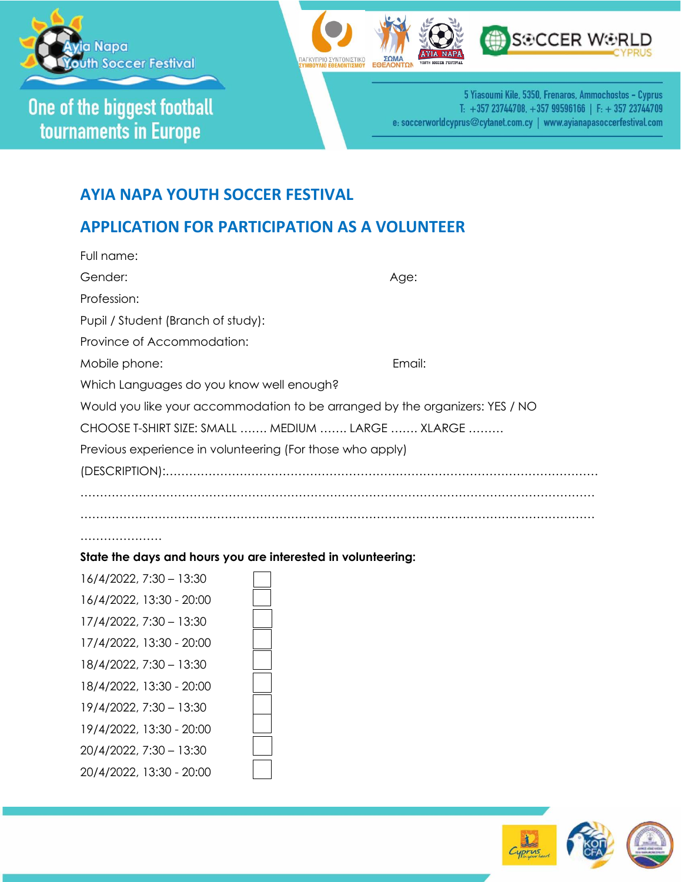

One of the biggest football tournaments in Europe





5 Yiasoumi Kile, 5350, Frenaros, Ammochostos - Cyprus T: +357 23744708, +357 99596166 | F: +357 23744709 e: soccerworldcyprus@cytanet.com.cy | www.ayianapasoccerfestival.com

## **AYIA NAPA YOUTH SOCCER FESTIVAL**

## **APPLICATION FOR PARTICIPATION AS A VOLUNTEER**

| Full name:                                                                   |        |  |
|------------------------------------------------------------------------------|--------|--|
| Gender:                                                                      | Age:   |  |
| Profession:                                                                  |        |  |
| Pupil / Student (Branch of study):                                           |        |  |
| Province of Accommodation:                                                   |        |  |
| Mobile phone:                                                                | Email: |  |
| Which Languages do you know well enough?                                     |        |  |
| Would you like your accommodation to be arranged by the organizers: YES / NO |        |  |
| CHOOSE T-SHIRT SIZE: SMALL  MEDIUM  LARGE  XLARGE                            |        |  |
| Previous experience in volunteering (For those who apply)                    |        |  |
|                                                                              |        |  |
|                                                                              |        |  |
|                                                                              |        |  |
| .                                                                            |        |  |
| State the days and hours you are interested in volunteering:                 |        |  |

| 16/4/2022, 7:30 - 13:30  |
|--------------------------|
| 16/4/2022, 13:30 - 20:00 |
| 17/4/2022, 7:30 - 13:30  |
| 17/4/2022, 13:30 - 20:00 |
| 18/4/2022, 7:30 - 13:30  |
| 18/4/2022, 13:30 - 20:00 |
| 19/4/2022, 7:30 - 13:30  |
| 19/4/2022, 13:30 - 20:00 |
| 20/4/2022, 7:30 - 13:30  |
| 20/4/2022, 13:30 - 20:00 |